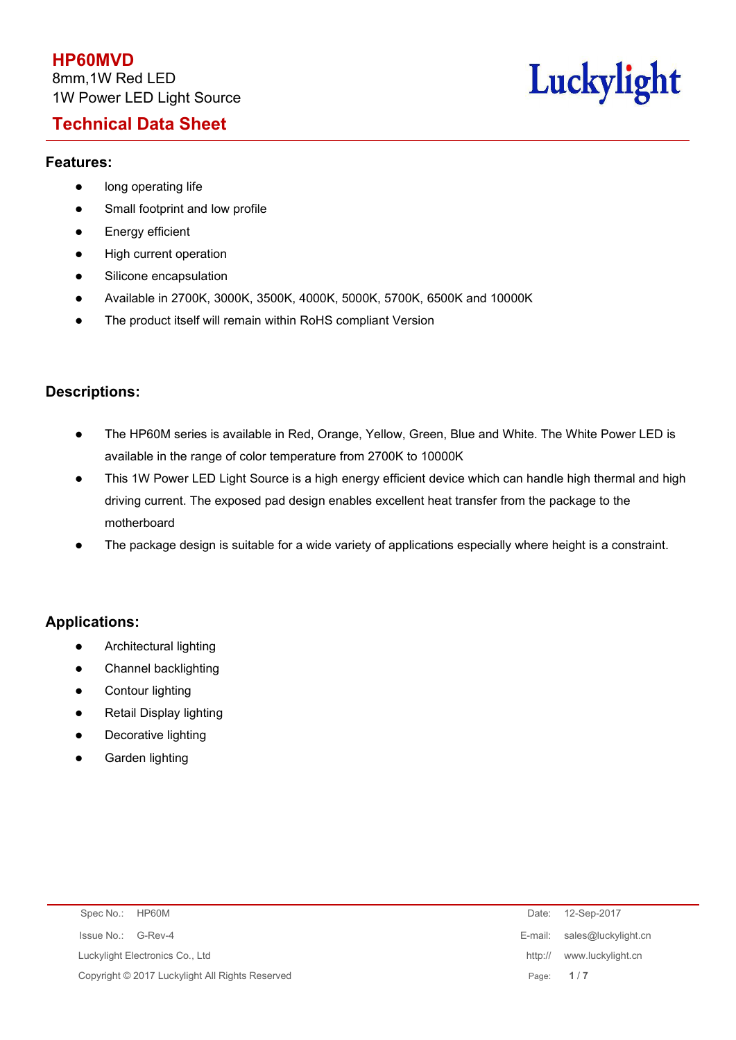# **Technical Data Sheet**



#### **Features:**

- **•** long operating life
- Small footprint and low profile
- **•** Energy efficient
- High current operation
- **•** Silicone encapsulation
- Available in 2700K, 3000K, 3500K, 4000K, 5000K, 5700K, 6500K and 10000K
- The product itself will remain within RoHS compliant Version

### **Descriptions:**

- The HP60M series is available in Red, Orange, Yellow, Green, Blue and White. The White Power LED is available in the range of color temperature from 2700K to 10000K
- This 1W Power LED Light Source is a high energy efficient device which can handle high thermal and high driving current. The exposed pad design enables excellent heat transfer from the package to the motherboard
- The package design is suitable for a wide variety of applications especially where height is a constraint.

#### **Applications:**

- **•** Architectural lighting
- Channel backlighting
- **•** Contour lighting
- Retail Display lighting
- Decorative lighting
- **•** Garden lighting

| Spec No.: HP60M                                 |         | Date: 12-Sep-2017           |
|-------------------------------------------------|---------|-----------------------------|
| Issue No.: G-Rev-4                              |         | E-mail: sales@luckylight.cn |
| Luckylight Electronics Co., Ltd                 | http:// | www.luckylight.cn           |
| Copyright © 2017 Luckylight All Rights Reserved |         | Page: 1/7                   |
|                                                 |         |                             |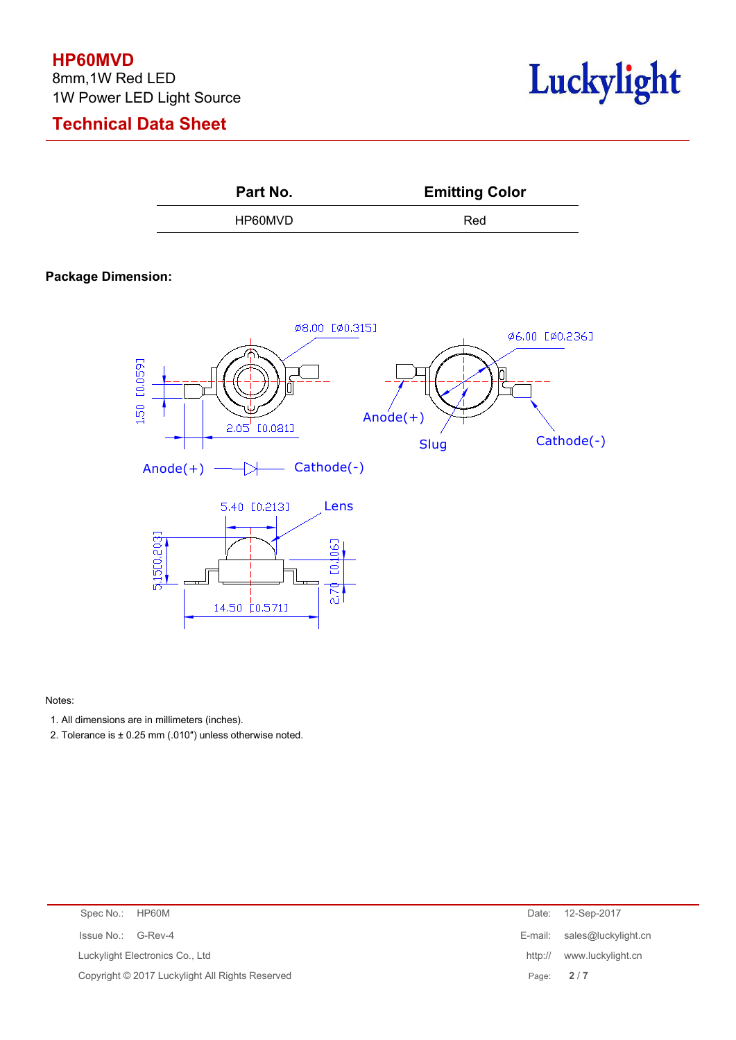### **HP60MVD**

8mm,1W Red LED 1W Power LED Light Source

# **Technical Data Sheet**





#### **Package Dimension:**



Notes:

- 1. All dimensions are in millimeters (inches).
- 2. Tolerance is ± 0.25 mm (.010") unless otherwise noted.

| Spec No.: HP60M                                 |           | Date: 12-Sep-2017           |
|-------------------------------------------------|-----------|-----------------------------|
| Issue No.: G-Rev-4                              |           | E-mail: sales@luckylight.cn |
| Luckylight Electronics Co., Ltd                 |           | http:// www.luckylight.cn   |
| Copyright © 2017 Luckylight All Rights Reserved | Page: 2/7 |                             |
|                                                 |           |                             |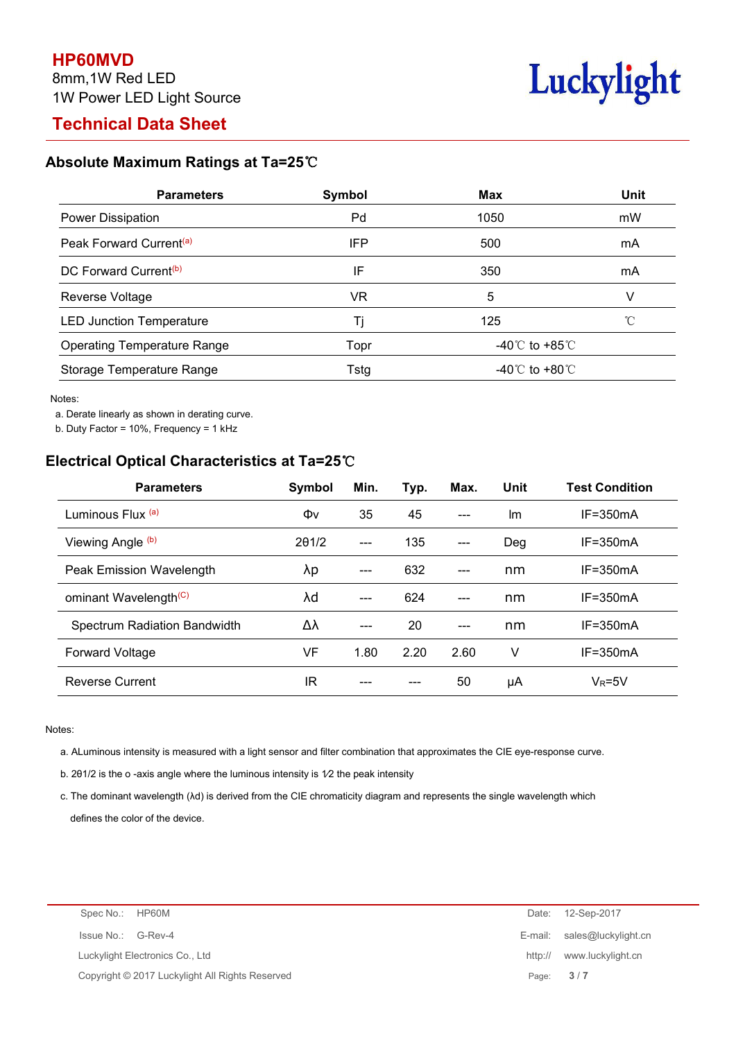# **Technical Data Sheet**



### **Absolute Maximum Ratings at Ta=25**℃

| <b>Parameters</b>                   | Symbol | <b>Max</b>                           | <b>Unit</b> |
|-------------------------------------|--------|--------------------------------------|-------------|
| Power Dissipation                   | Pd     | 1050                                 | mW          |
| Peak Forward Current <sup>(a)</sup> | IFP    | 500                                  | mA          |
| DC Forward Current <sup>(b)</sup>   | IF     | 350                                  | mA          |
| Reverse Voltage                     | VR     | 5                                    |             |
| <b>LED Junction Temperature</b>     |        | 125                                  |             |
| <b>Operating Temperature Range</b>  | Topr   | -40℃ to +85℃                         |             |
| Storage Temperature Range           | Tstg   | -40 $^{\circ}$ C to +80 $^{\circ}$ C |             |

Notes:

a. Derate linearly as shown in derating curve.

b. Duty Factor = 10%, Frequency = 1 kHz

### **Electrical Optical Characteristics at Ta=25**℃

| <b>Parameters</b>                 | <b>Symbol</b> | Min.  | Typ. | Max.                | <b>Unit</b> | <b>Test Condition</b> |
|-----------------------------------|---------------|-------|------|---------------------|-------------|-----------------------|
| Luminous Flux (a)                 | Φv            | 35    | 45   | $---$               | Im          | $IF = 350mA$          |
| Viewing Angle (b)                 | 201/2         | $---$ | 135  | $---$               | Deg         | $IF = 350mA$          |
| Peak Emission Wavelength          | λp            | $---$ | 632  | $\qquad \qquad - -$ | nm          | $IF = 350mA$          |
| ominant Wavelength <sup>(C)</sup> | λd            | $---$ | 624  | $---$               | nm          | $IF = 350mA$          |
| Spectrum Radiation Bandwidth      | Δλ            | $---$ | 20   | $---$               | nm          | $IF = 350mA$          |
| Forward Voltage                   | VF            | 1.80  | 2.20 | 2.60                | ٧           | $IF = 350mA$          |
| <b>Reverse Current</b>            | ΙR            | ---   | ---  | 50                  | μA          | $V_R = 5V$            |

Notes:

a. ALuminous intensity is measured with a light sensor and filter combination that approximates the CIE eye-response curve.

b. 2θ1/2 is the o -axis angle where the luminous intensity is 1⁄2 the peak intensity

c. The dominant wavelength (λd) is derived from the CIE chromaticity diagram and represents the single wavelength which defines the color of the device.

| Spec No.: HP60M |                                                 |         | Date: 12-Sep-2017           |
|-----------------|-------------------------------------------------|---------|-----------------------------|
|                 | Issue No.: G-Rev-4                              |         | E-mail: sales@luckylight.cn |
|                 | Luckylight Electronics Co., Ltd                 | http:// | www.luckylight.cn           |
|                 | Copyright © 2017 Luckylight All Rights Reserved |         | Page: $3/7$                 |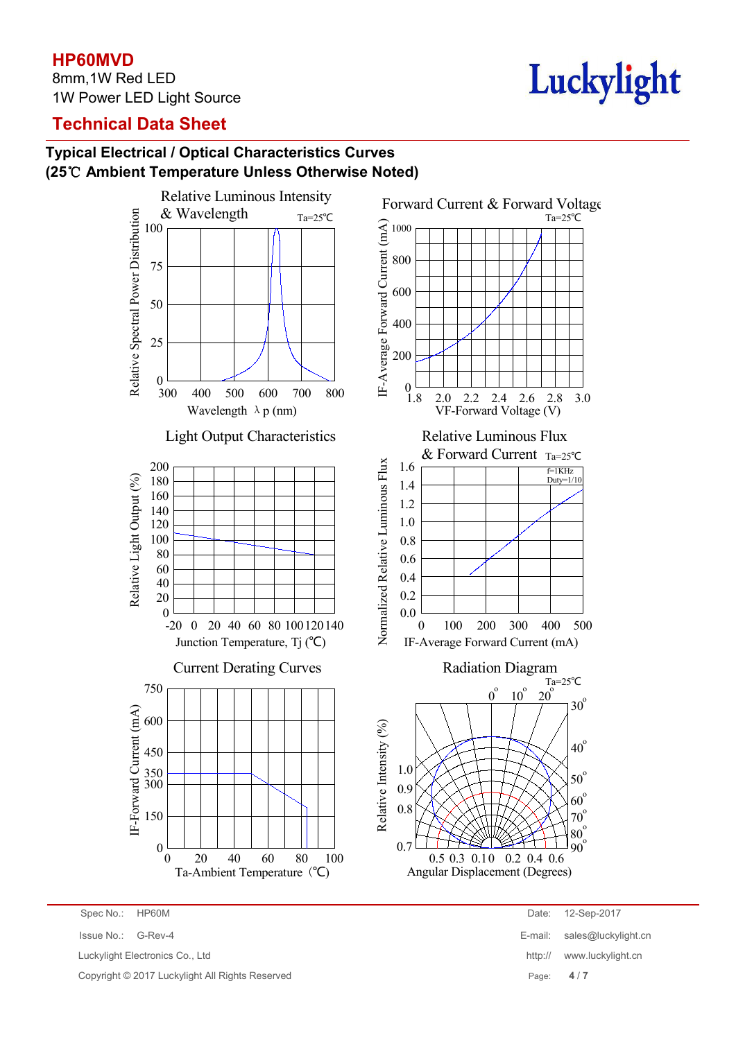## **HP60MVD**

8mm,1W Red LED 1W Power LED Light Source

# Luckylight

# **Technical Data Sheet**

# **Typical Electrical / Optical Characteristics Curves (25**℃ **Ambient Temperature Unless Otherwise Noted)**



Luckylight Electronics Co., Ltd **http:// www.luckylight.cn** http:// www.luckylight.cn

Copyright © 2017 Luckylight All Rights Reserved Page: **4** / **7**

- Spec No.: HP60M Date: 12-Sep-2017
- Issue No.: G-Rev-4 E-mail: sales@luckylight.cn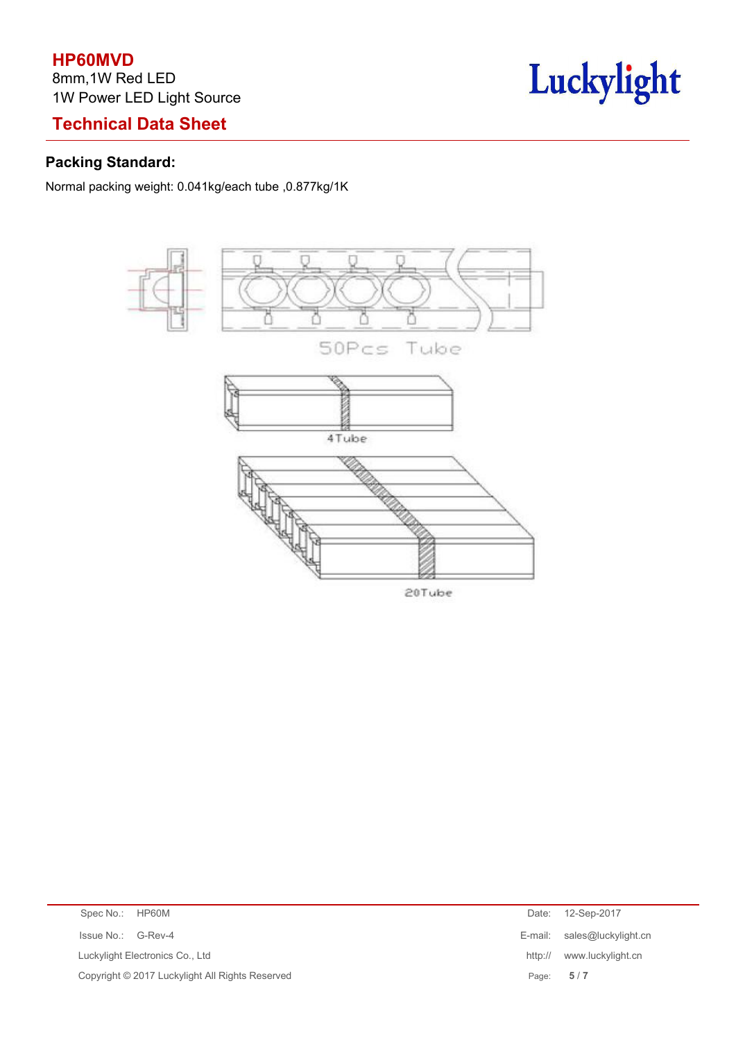# **HP60MVD**

8mm,1W Red LED 1W Power LED Light Source

# **Technical Data Sheet**

# Luckylight

## **Packing Standard:**

Normal packing weight: 0.041kg/each tube ,0.877kg/1K



| Spec No.: HP60M                                 | Date:   | 12-Sep-2017                 |
|-------------------------------------------------|---------|-----------------------------|
| Issue No.: G-Rev-4                              |         | E-mail: sales@luckylight.cn |
| Luckylight Electronics Co., Ltd                 | http:// | www.luckylight.cn           |
| Copyright © 2017 Luckylight All Rights Reserved | Page:   | 5/7                         |
|                                                 |         |                             |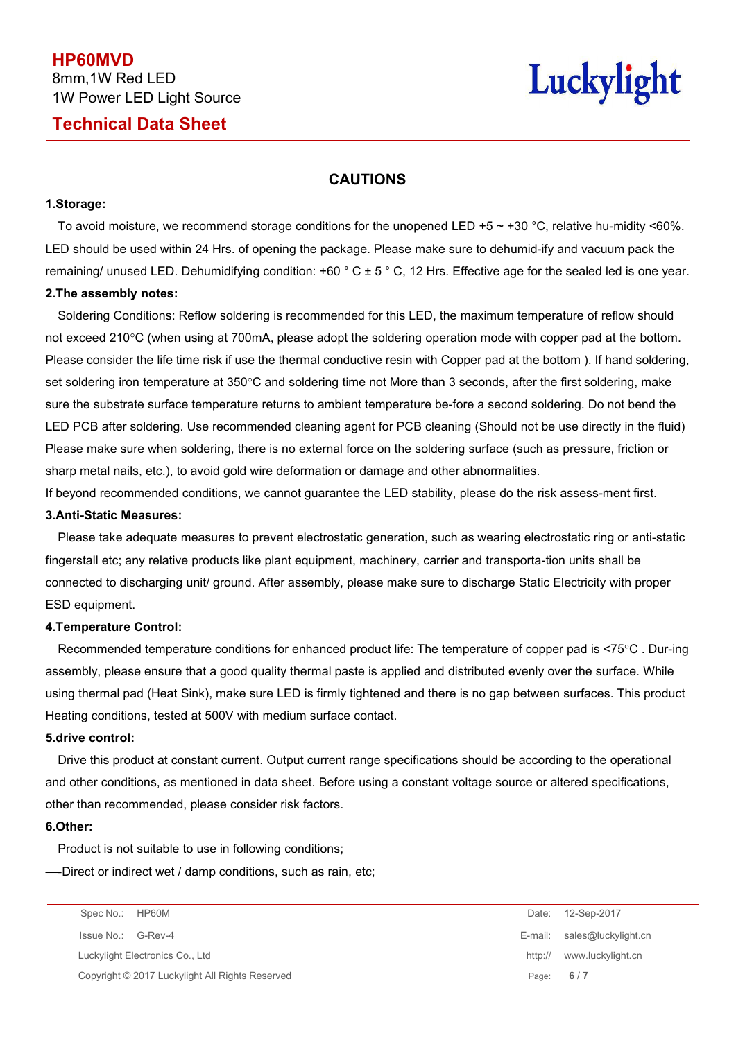**HP60MVD** 8mm,1W Red LED 1W Power LED Light Source

## **Technical Data Sheet**

# Luckylight

#### **CAUTIONS**

#### **1.Storage:**

To avoid moisture, we recommend storage conditions for the unopened LED +5  $\sim$  +30 °C, relative hu-midity <60%. LED should be used within 24 Hrs. of opening the package. Please make sure to dehumid-ify and vacuum pack the remaining/ unused LED. Dehumidifying condition:  $+60\degree C \pm 5\degree C$ , 12 Hrs. Effective age for the sealed led is one year. **2.The assembly notes:**

# Soldering Conditions: Reflow soldering is recommended for this LED, the maximum temperature of reflow should not exceed 210°C (when using at 700mA, please adopt the soldering operation mode with copper pad at the bottom. Please consider the life time risk if use the thermal conductive resin with Copper pad at the bottom ). If hand soldering, set soldering iron temperature at 350°C and soldering time not More than 3 seconds, after the first soldering, make sure the substrate surface temperature returns to ambient temperature be-fore a second soldering. Do not bend the LED PCB after soldering. Use recommended cleaning agent for PCB cleaning (Should not be use directly in the fluid) Please make sure when soldering, there is no external force on the soldering surface (such as pressure, friction or

sharp metal nails, etc.), to avoid gold wire deformation or damage and other abnormalities.

If beyond recommended conditions, we cannot guarantee the LED stability, please do the risk assess-ment first.

#### **3.Anti-Static Measures:**

Please take adequate measures to prevent electrostatic generation, such as wearing electrostatic ring oranti-static fingerstall etc; any relative products like plant equipment, machinery, carrier and transporta-tion units shall be connected to discharging unit/ ground. After assembly, please make sure to discharge Static Electricity with proper ESD equipment.

#### **4.Temperature Control:**

Recommended temperature conditions for enhanced product life: The temperature of copper pad is<75°C . Dur-ing assembly, please ensure that a good quality thermal paste is applied and distributed evenly over the surface. While using thermal pad (Heat Sink), make sure LED is firmly tightened and there isno gap between surfaces. This product Heating conditions, tested at 500V with medium surface contact.

#### **5.drive control:**

Drive this product at constant current. Output current range specifications should be according to the operational and other conditions, as mentioned in data sheet. Before using a constant voltage source or altered specifications, other than recommended, please consider risk factors.

#### **6.Other:**

Product is not suitable to use in following conditions;

—-Direct or indirect wet / damp conditions, such as rain, etc;

Luckylight Electronics Co., Ltd **http:// www.luckylight.cn** Copyright © 2017 Luckylight All Rights Reserved Page: **6** / **7**

Spec No.: HP60M Date: 12-Sep-2017 Issue No.: G-Rev-4 E-mail: sales@luckylight.cn